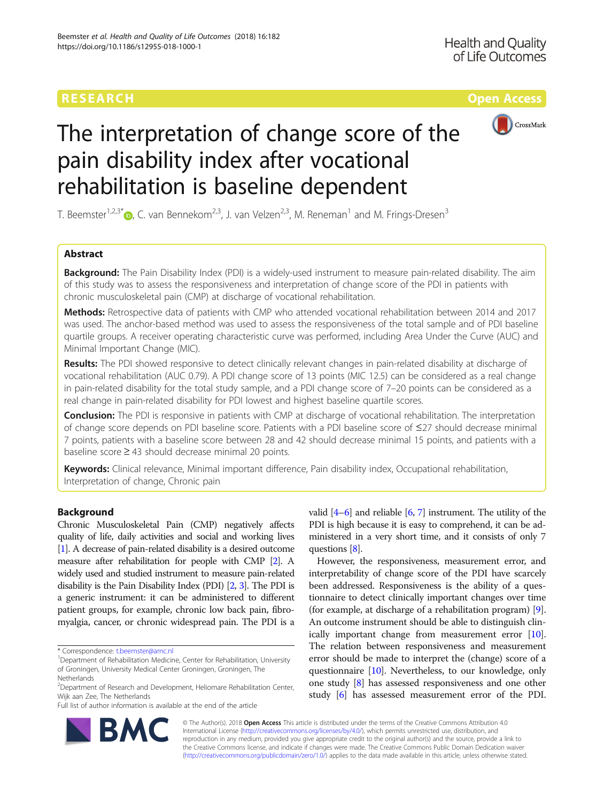# **RESEARCH CHINESE ARCH CHINESE ARCH CHINESE ARCH**



# The interpretation of change score of the pain disability index after vocational rehabilitation is baseline dependent

T. Beemster<sup>1[,](http://orcid.org/0000-0003-2747-1913)2,3\*</sup> $\bullet$ , C. van Bennekom<sup>2,3</sup>, J. van Velzen<sup>2,3</sup>, M. Reneman<sup>1</sup> and M. Frings-Dresen<sup>3</sup>

# Abstract

**Background:** The Pain Disability Index (PDI) is a widely-used instrument to measure pain-related disability. The aim of this study was to assess the responsiveness and interpretation of change score of the PDI in patients with chronic musculoskeletal pain (CMP) at discharge of vocational rehabilitation.

Methods: Retrospective data of patients with CMP who attended vocational rehabilitation between 2014 and 2017 was used. The anchor-based method was used to assess the responsiveness of the total sample and of PDI baseline quartile groups. A receiver operating characteristic curve was performed, including Area Under the Curve (AUC) and Minimal Important Change (MIC).

Results: The PDI showed responsive to detect clinically relevant changes in pain-related disability at discharge of vocational rehabilitation (AUC 0.79). A PDI change score of 13 points (MIC 12.5) can be considered as a real change in pain-related disability for the total study sample, and a PDI change score of 7–20 points can be considered as a real change in pain-related disability for PDI lowest and highest baseline quartile scores.

Conclusion: The PDI is responsive in patients with CMP at discharge of vocational rehabilitation. The interpretation of change score depends on PDI baseline score. Patients with a PDI baseline score of ≤27 should decrease minimal 7 points, patients with a baseline score between 28 and 42 should decrease minimal 15 points, and patients with a baseline score ≥ 43 should decrease minimal 20 points.

Keywords: Clinical relevance, Minimal important difference, Pain disability index, Occupational rehabilitation, Interpretation of change, Chronic pain

# Background

Chronic Musculoskeletal Pain (CMP) negatively affects quality of life, daily activities and social and working lives [[1](#page-8-0)]. A decrease of pain-related disability is a desired outcome measure after rehabilitation for people with CMP [\[2\]](#page-8-0). A widely used and studied instrument to measure pain-related disability is the Pain Disability Index (PDI) [[2](#page-8-0), [3\]](#page-8-0). The PDI is a generic instrument: it can be administered to different patient groups, for example, chronic low back pain, fibromyalgia, cancer, or chronic widespread pain. The PDI is a

Full list of author information is available at the end of the article

valid  $[4-6]$  $[4-6]$  $[4-6]$  $[4-6]$  and reliable  $[6, 7]$  $[6, 7]$  $[6, 7]$  instrument. The utility of the PDI is high because it is easy to comprehend, it can be administered in a very short time, and it consists of only 7 questions [[8\]](#page-8-0).

However, the responsiveness, measurement error, and interpretability of change score of the PDI have scarcely been addressed. Responsiveness is the ability of a questionnaire to detect clinically important changes over time (for example, at discharge of a rehabilitation program) [[9](#page-8-0)]. An outcome instrument should be able to distinguish clinically important change from measurement error [[10](#page-8-0)]. The relation between responsiveness and measurement error should be made to interpret the (change) score of a questionnaire [\[10\]](#page-8-0). Nevertheless, to our knowledge, only one study [[8](#page-8-0)] has assessed responsiveness and one other study [[6](#page-8-0)] has assessed measurement error of the PDI.



© The Author(s). 2018 Open Access This article is distributed under the terms of the Creative Commons Attribution 4.0 International License [\(http://creativecommons.org/licenses/by/4.0/](http://creativecommons.org/licenses/by/4.0/)), which permits unrestricted use, distribution, and reproduction in any medium, provided you give appropriate credit to the original author(s) and the source, provide a link to the Creative Commons license, and indicate if changes were made. The Creative Commons Public Domain Dedication waiver [\(http://creativecommons.org/publicdomain/zero/1.0/](http://creativecommons.org/publicdomain/zero/1.0/)) applies to the data made available in this article, unless otherwise stated.

<sup>\*</sup> Correspondence: [t.beemster@amc.nl](mailto:t.beemster@amc.nl) <sup>1</sup>

<sup>&</sup>lt;sup>1</sup>Department of Rehabilitation Medicine, Center for Rehabilitation, University of Groningen, University Medical Center Groningen, Groningen, The Netherlands

<sup>&</sup>lt;sup>2</sup>Department of Research and Development, Heliomare Rehabilitation Center, Wijk aan Zee, The Netherlands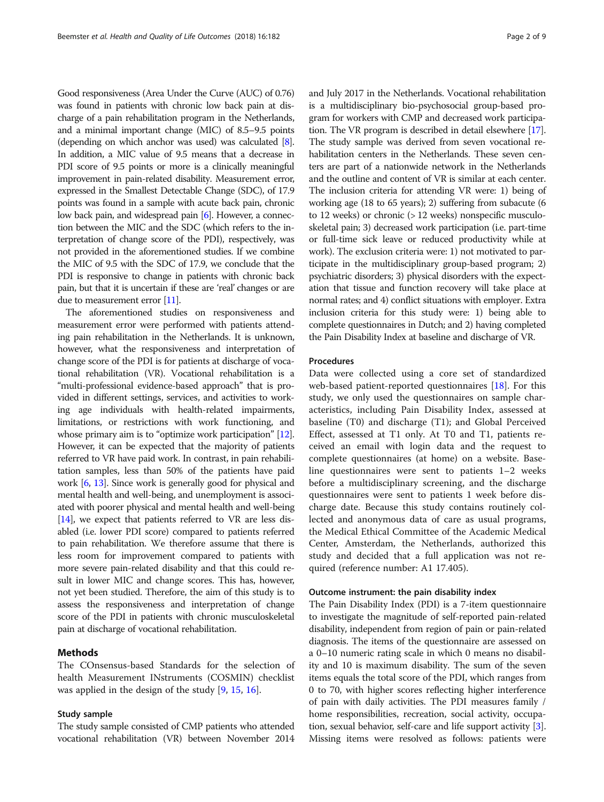Good responsiveness (Area Under the Curve (AUC) of 0.76) was found in patients with chronic low back pain at discharge of a pain rehabilitation program in the Netherlands, and a minimal important change (MIC) of 8.5–9.5 points (depending on which anchor was used) was calculated [\[8](#page-8-0)]. In addition, a MIC value of 9.5 means that a decrease in PDI score of 9.5 points or more is a clinically meaningful improvement in pain-related disability. Measurement error, expressed in the Smallest Detectable Change (SDC), of 17.9 points was found in a sample with acute back pain, chronic low back pain, and widespread pain [\[6\]](#page-8-0). However, a connection between the MIC and the SDC (which refers to the interpretation of change score of the PDI), respectively, was not provided in the aforementioned studies. If we combine the MIC of 9.5 with the SDC of 17.9, we conclude that the PDI is responsive to change in patients with chronic back pain, but that it is uncertain if these are 'real' changes or are due to measurement error [\[11](#page-8-0)].

The aforementioned studies on responsiveness and measurement error were performed with patients attending pain rehabilitation in the Netherlands. It is unknown, however, what the responsiveness and interpretation of change score of the PDI is for patients at discharge of vocational rehabilitation (VR). Vocational rehabilitation is a "multi-professional evidence-based approach" that is provided in different settings, services, and activities to working age individuals with health-related impairments, limitations, or restrictions with work functioning, and whose primary aim is to "optimize work participation" [\[12](#page-8-0)]. However, it can be expected that the majority of patients referred to VR have paid work. In contrast, in pain rehabilitation samples, less than 50% of the patients have paid work [[6](#page-8-0), [13](#page-8-0)]. Since work is generally good for physical and mental health and well-being, and unemployment is associated with poorer physical and mental health and well-being [[14](#page-8-0)], we expect that patients referred to VR are less disabled (i.e. lower PDI score) compared to patients referred to pain rehabilitation. We therefore assume that there is less room for improvement compared to patients with more severe pain-related disability and that this could result in lower MIC and change scores. This has, however, not yet been studied. Therefore, the aim of this study is to assess the responsiveness and interpretation of change score of the PDI in patients with chronic musculoskeletal pain at discharge of vocational rehabilitation.

# Methods

The COnsensus-based Standards for the selection of health Measurement INstruments (COSMIN) checklist was applied in the design of the study [[9,](#page-8-0) [15,](#page-8-0) [16](#page-8-0)].

#### Study sample

The study sample consisted of CMP patients who attended vocational rehabilitation (VR) between November 2014 and July 2017 in the Netherlands. Vocational rehabilitation is a multidisciplinary bio-psychosocial group-based program for workers with CMP and decreased work participation. The VR program is described in detail elsewhere [\[17](#page-8-0)]. The study sample was derived from seven vocational rehabilitation centers in the Netherlands. These seven centers are part of a nationwide network in the Netherlands and the outline and content of VR is similar at each center. The inclusion criteria for attending VR were: 1) being of working age (18 to 65 years); 2) suffering from subacute (6 to 12 weeks) or chronic (> 12 weeks) nonspecific musculoskeletal pain; 3) decreased work participation (i.e. part-time or full-time sick leave or reduced productivity while at work). The exclusion criteria were: 1) not motivated to participate in the multidisciplinary group-based program; 2) psychiatric disorders; 3) physical disorders with the expectation that tissue and function recovery will take place at normal rates; and 4) conflict situations with employer. Extra inclusion criteria for this study were: 1) being able to complete questionnaires in Dutch; and 2) having completed the Pain Disability Index at baseline and discharge of VR.

#### Procedures

Data were collected using a core set of standardized web-based patient-reported questionnaires [\[18](#page-8-0)]. For this study, we only used the questionnaires on sample characteristics, including Pain Disability Index, assessed at baseline (T0) and discharge (T1); and Global Perceived Effect, assessed at T1 only. At T0 and T1, patients received an email with login data and the request to complete questionnaires (at home) on a website. Baseline questionnaires were sent to patients 1–2 weeks before a multidisciplinary screening, and the discharge questionnaires were sent to patients 1 week before discharge date. Because this study contains routinely collected and anonymous data of care as usual programs, the Medical Ethical Committee of the Academic Medical Center, Amsterdam, the Netherlands, authorized this study and decided that a full application was not required (reference number: A1 17.405).

#### Outcome instrument: the pain disability index

The Pain Disability Index (PDI) is a 7-item questionnaire to investigate the magnitude of self-reported pain-related disability, independent from region of pain or pain-related diagnosis. The items of the questionnaire are assessed on a 0–10 numeric rating scale in which 0 means no disability and 10 is maximum disability. The sum of the seven items equals the total score of the PDI, which ranges from 0 to 70, with higher scores reflecting higher interference of pain with daily activities. The PDI measures family / home responsibilities, recreation, social activity, occupation, sexual behavior, self-care and life support activity [[3](#page-8-0)]. Missing items were resolved as follows: patients were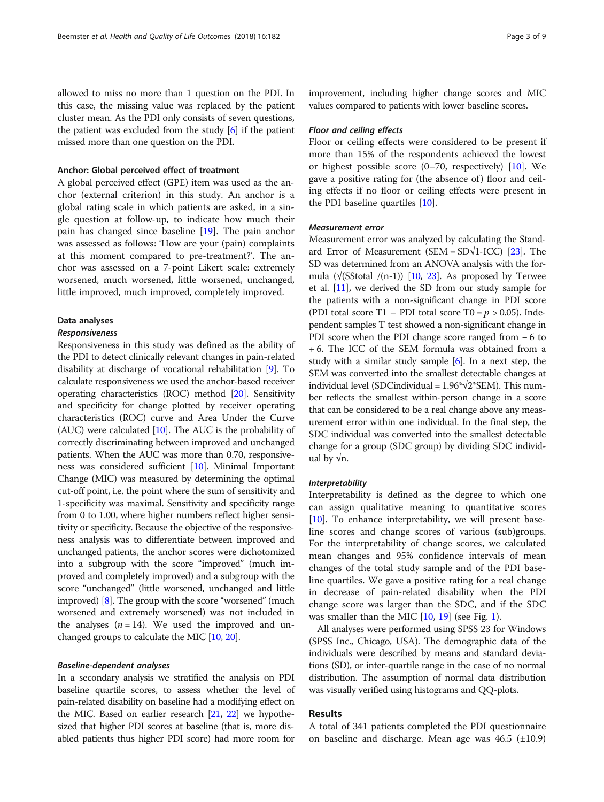#### Anchor: Global perceived effect of treatment

A global perceived effect (GPE) item was used as the anchor (external criterion) in this study. An anchor is a global rating scale in which patients are asked, in a single question at follow-up, to indicate how much their pain has changed since baseline [\[19\]](#page-8-0). The pain anchor was assessed as follows: 'How are your (pain) complaints at this moment compared to pre-treatment?'. The anchor was assessed on a 7-point Likert scale: extremely worsened, much worsened, little worsened, unchanged, little improved, much improved, completely improved.

#### Data analyses

#### Responsiveness

Responsiveness in this study was defined as the ability of the PDI to detect clinically relevant changes in pain-related disability at discharge of vocational rehabilitation [\[9\]](#page-8-0). To calculate responsiveness we used the anchor-based receiver operating characteristics (ROC) method [[20](#page-8-0)]. Sensitivity and specificity for change plotted by receiver operating characteristics (ROC) curve and Area Under the Curve (AUC) were calculated [\[10\]](#page-8-0). The AUC is the probability of correctly discriminating between improved and unchanged patients. When the AUC was more than 0.70, responsiveness was considered sufficient [\[10\]](#page-8-0). Minimal Important Change (MIC) was measured by determining the optimal cut-off point, i.e. the point where the sum of sensitivity and 1-specificity was maximal. Sensitivity and specificity range from 0 to 1.00, where higher numbers reflect higher sensitivity or specificity. Because the objective of the responsiveness analysis was to differentiate between improved and unchanged patients, the anchor scores were dichotomized into a subgroup with the score "improved" (much improved and completely improved) and a subgroup with the score "unchanged" (little worsened, unchanged and little improved) [\[8\]](#page-8-0). The group with the score "worsened" (much worsened and extremely worsened) was not included in the analyses  $(n = 14)$ . We used the improved and unchanged groups to calculate the MIC [\[10,](#page-8-0) [20\]](#page-8-0).

#### Baseline-dependent analyses

In a secondary analysis we stratified the analysis on PDI baseline quartile scores, to assess whether the level of pain-related disability on baseline had a modifying effect on the MIC. Based on earlier research [\[21](#page-8-0), [22](#page-8-0)] we hypothesized that higher PDI scores at baseline (that is, more disabled patients thus higher PDI score) had more room for

improvement, including higher change scores and MIC values compared to patients with lower baseline scores.

# Floor and ceiling effects

Floor or ceiling effects were considered to be present if more than 15% of the respondents achieved the lowest or highest possible score (0–70, respectively) [\[10](#page-8-0)]. We gave a positive rating for (the absence of) floor and ceiling effects if no floor or ceiling effects were present in the PDI baseline quartiles [\[10](#page-8-0)].

#### Measurement error

Measurement error was analyzed by calculating the Standard Error of Measurement (SEM = SD $\sqrt{1-ICC}$ ) [[23](#page-8-0)]. The SD was determined from an ANOVA analysis with the formula ( $\sqrt{(SStotal / (n-1))}$  [\[10,](#page-8-0) [23\]](#page-8-0). As proposed by Terwee et al. [[11](#page-8-0)], we derived the SD from our study sample for the patients with a non-significant change in PDI score (PDI total score T1 – PDI total score T0 =  $p > 0.05$ ). Independent samples T test showed a non-significant change in PDI score when the PDI change score ranged from − 6 to + 6. The ICC of the SEM formula was obtained from a study with a similar study sample [\[6\]](#page-8-0). In a next step, the SEM was converted into the smallest detectable changes at individual level (SDCindividual =  $1.96*\sqrt{2*SEM}$ ). This number reflects the smallest within-person change in a score that can be considered to be a real change above any measurement error within one individual. In the final step, the SDC individual was converted into the smallest detectable change for a group (SDC group) by dividing SDC individual by  $\sqrt{n}$ .

#### Interpretability

Interpretability is defined as the degree to which one can assign qualitative meaning to quantitative scores [[10\]](#page-8-0). To enhance interpretability, we will present baseline scores and change scores of various (sub)groups. For the interpretability of change scores, we calculated mean changes and 95% confidence intervals of mean changes of the total study sample and of the PDI baseline quartiles. We gave a positive rating for a real change in decrease of pain-related disability when the PDI change score was larger than the SDC, and if the SDC was smaller than the MIC [\[10](#page-8-0), [19](#page-8-0)] (see Fig. [1](#page-3-0)).

All analyses were performed using SPSS 23 for Windows (SPSS Inc., Chicago, USA). The demographic data of the individuals were described by means and standard deviations (SD), or inter-quartile range in the case of no normal distribution. The assumption of normal data distribution was visually verified using histograms and QQ-plots.

# Results

A total of 341 patients completed the PDI questionnaire on baseline and discharge. Mean age was  $46.5$  ( $\pm 10.9$ )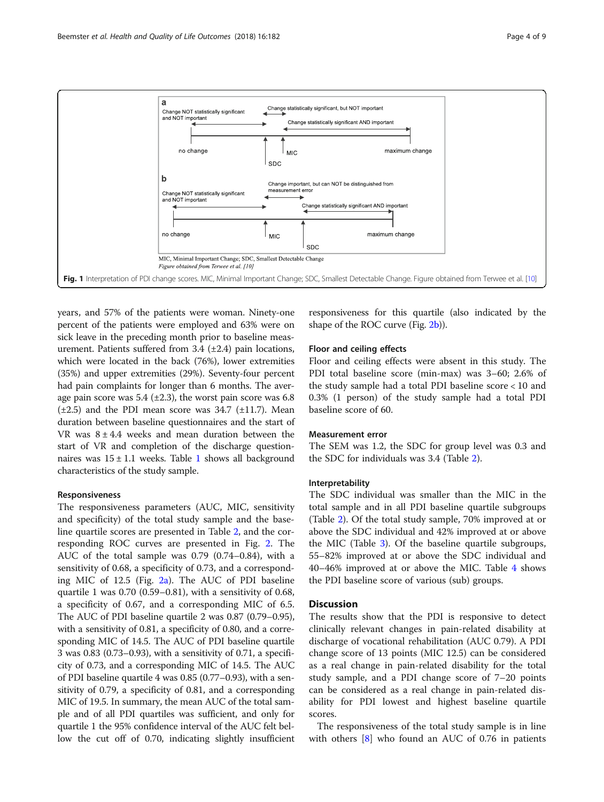<span id="page-3-0"></span>

years, and 57% of the patients were woman. Ninety-one percent of the patients were employed and 63% were on sick leave in the preceding month prior to baseline measurement. Patients suffered from  $3.4$  ( $\pm 2.4$ ) pain locations, which were located in the back (76%), lower extremities (35%) and upper extremities (29%). Seventy-four percent had pain complaints for longer than 6 months. The average pain score was  $5.4$  ( $\pm 2.3$ ), the worst pain score was 6.8  $(\pm 2.5)$  and the PDI mean score was 34.7  $(\pm 11.7)$ . Mean duration between baseline questionnaires and the start of VR was  $8 \pm 4.4$  weeks and mean duration between the start of VR and completion of the discharge questionnaires was  $15 \pm 1.1$  $15 \pm 1.1$  weeks. Table 1 shows all background characteristics of the study sample.

#### Responsiveness

The responsiveness parameters (AUC, MIC, sensitivity and specificity) of the total study sample and the baseline quartile scores are presented in Table [2](#page-5-0), and the corresponding ROC curves are presented in Fig. [2.](#page-6-0) The AUC of the total sample was 0.79 (0.74–0.84), with a sensitivity of 0.68, a specificity of 0.73, and a corresponding MIC of 12.5 (Fig. [2a](#page-6-0)). The AUC of PDI baseline quartile 1 was 0.70 (0.59–0.81), with a sensitivity of 0.68, a specificity of 0.67, and a corresponding MIC of 6.5. The AUC of PDI baseline quartile 2 was 0.87 (0.79–0.95), with a sensitivity of 0.81, a specificity of 0.80, and a corresponding MIC of 14.5. The AUC of PDI baseline quartile 3 was 0.83 (0.73–0.93), with a sensitivity of 0.71, a specificity of 0.73, and a corresponding MIC of 14.5. The AUC of PDI baseline quartile 4 was 0.85 (0.77–0.93), with a sensitivity of 0.79, a specificity of 0.81, and a corresponding MIC of 19.5. In summary, the mean AUC of the total sample and of all PDI quartiles was sufficient, and only for quartile 1 the 95% confidence interval of the AUC felt bellow the cut off of 0.70, indicating slightly insufficient

responsiveness for this quartile (also indicated by the shape of the ROC curve (Fig. [2b\)](#page-6-0)).

#### Floor and ceiling effects

Floor and ceiling effects were absent in this study. The PDI total baseline score (min-max) was 3–60; 2.6% of the study sample had a total PDI baseline score < 10 and 0.3% (1 person) of the study sample had a total PDI baseline score of 60.

#### Measurement error

The SEM was 1.2, the SDC for group level was 0.3 and the SDC for individuals was 3.4 (Table [2](#page-5-0)).

#### Interpretability

The SDC individual was smaller than the MIC in the total sample and in all PDI baseline quartile subgroups (Table [2](#page-5-0)). Of the total study sample, 70% improved at or above the SDC individual and 42% improved at or above the MIC (Table [3\)](#page-7-0). Of the baseline quartile subgroups, 55–82% improved at or above the SDC individual and 40–46% improved at or above the MIC. Table [4](#page-7-0) shows the PDI baseline score of various (sub) groups.

### **Discussion**

The results show that the PDI is responsive to detect clinically relevant changes in pain-related disability at discharge of vocational rehabilitation (AUC 0.79). A PDI change score of 13 points (MIC 12.5) can be considered as a real change in pain-related disability for the total study sample, and a PDI change score of 7–20 points can be considered as a real change in pain-related disability for PDI lowest and highest baseline quartile scores.

The responsiveness of the total study sample is in line with others  $[8]$  $[8]$  who found an AUC of 0.76 in patients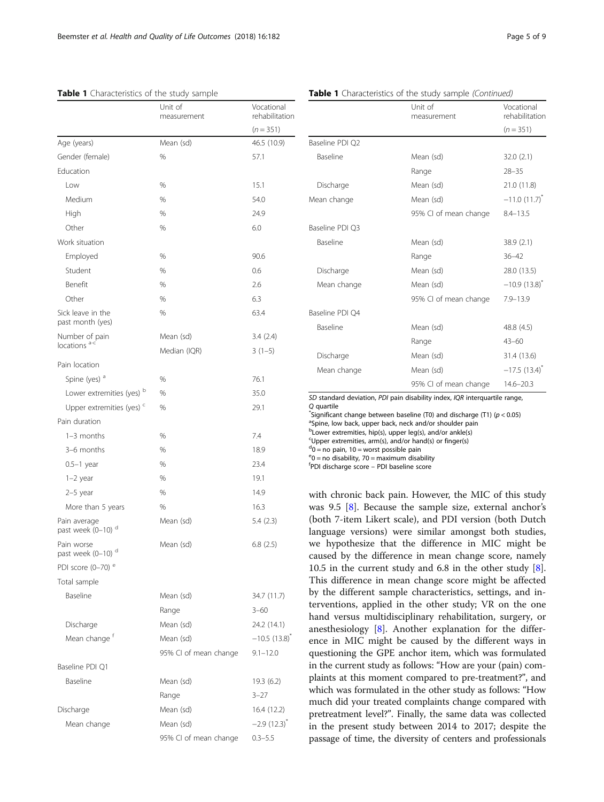# <span id="page-4-0"></span>Table 1 Characteristics of the study sample

|                                               | Unit of<br>measurement | Vocational<br>rehabilitation |  |
|-----------------------------------------------|------------------------|------------------------------|--|
|                                               |                        | $(n = 351)$                  |  |
| Age (years)                                   | Mean (sd)              | 46.5 (10.9)                  |  |
| Gender (female)                               | %                      | 57.1                         |  |
| Education                                     |                        |                              |  |
| Low                                           | $\%$                   | 15.1                         |  |
| Medium                                        | %                      | 54.0                         |  |
| High                                          | %                      | 24.9                         |  |
| Other                                         | $\%$                   | 6.0                          |  |
| Work situation                                |                        |                              |  |
| Employed                                      | %                      | 90.6                         |  |
| Student                                       | $\frac{0}{0}$          | 0.6                          |  |
| Benefit                                       | %                      | 2.6                          |  |
| Other                                         | %                      | 6.3                          |  |
| Sick leave in the<br>past month (yes)         | $\frac{0}{0}$          | 63.4                         |  |
| Number of pain                                | Mean (sd)              | 3.4(2.4)                     |  |
| locations <sup>a-c</sup>                      | Median (IQR)           | $3(1-5)$                     |  |
| Pain location                                 |                        |                              |  |
| Spine (yes) <sup>a</sup>                      | %                      | 76.1                         |  |
| Lower extremities (yes) b                     | %                      | 35.0                         |  |
| Upper extremities (yes) <sup>c</sup>          | $\%$                   | 29.1                         |  |
| Pain duration                                 |                        |                              |  |
| $1-3$ months                                  | %                      | 7.4                          |  |
| 3-6 months                                    | $\%$                   | 18.9                         |  |
| $0.5-1$ year                                  | %                      | 23.4                         |  |
| $1-2$ year                                    | %                      | 19.1                         |  |
| $2-5$ year                                    | $\%$                   | 14.9                         |  |
| More than 5 years                             | $\%$                   | 16.3                         |  |
| Pain average<br>past week (0-10) <sup>d</sup> | Mean (sd)              | 5.4(2.3)                     |  |
| Pain worse<br>past week (0-10) <sup>d</sup>   | Mean (sd)              | 6.8(2.5)                     |  |
| PDI score (0-70) <sup>e</sup>                 |                        |                              |  |
| Total sample                                  |                        |                              |  |
| Baseline                                      | Mean (sd)              | 34.7 (11.7)                  |  |
|                                               | Range                  | $3 - 60$                     |  |
| Discharge                                     | Mean (sd)              | 24.2 (14.1)                  |  |
| Mean change <sup>f</sup>                      | Mean (sd)              | $-10.5(13.8)^{*}$            |  |
|                                               | 95% CI of mean change  | $9.1 - 12.0$                 |  |
| Baseline PDI Q1                               |                        |                              |  |
| Baseline                                      | Mean (sd)              | 19.3 (6.2)                   |  |
|                                               | Range                  | $3 - 27$                     |  |
| Discharge                                     | Mean (sd)              | 16.4 (12.2)                  |  |
| Mean change                                   | Mean (sd)              | $-2.9(12.3)$ <sup>*</sup>    |  |
|                                               | 95% CI of mean change  | $0.3 - 5.5$                  |  |

# Table 1 Characteristics of the study sample (Continued)

|                 | Unit of<br>measurement | Vocational<br>rehabilitation |
|-----------------|------------------------|------------------------------|
|                 |                        | $(n = 351)$                  |
| Baseline PDI Q2 |                        |                              |
| Baseline        | Mean (sd)              | 32.0(2.1)                    |
|                 | Range                  | $28 - 35$                    |
| Discharge       | Mean (sd)              | 21.0 (11.8)                  |
| Mean change     | Mean (sd)              | $-11.0$ $(11.7)^{*}$         |
|                 | 95% CI of mean change  | $8.4 - 13.5$                 |
| Baseline PDI Q3 |                        |                              |
| Baseline        | Mean (sd)              | 38.9(2.1)                    |
|                 | Range                  | $36 - 42$                    |
| Discharge       | Mean (sd)              | 28.0 (13.5)                  |
| Mean change     | Mean (sd)              | $-10.9(13.8)^{*}$            |
|                 | 95% CI of mean change  | $7.9 - 13.9$                 |
| Baseline PDI Q4 |                        |                              |
| <b>Baseline</b> | Mean (sd)              | 48.8 (4.5)                   |
|                 | Range                  | $43 - 60$                    |
| Discharge       | Mean (sd)              | 31.4 (13.6)                  |
| Mean change     | Mean (sd)              | $-17.5$ (13.4) <sup>*</sup>  |
|                 | 95% CI of mean change  | $14.6 - 20.3$                |

SD standard deviation, PDI pain disability index, IQR interquartile range, Q quartile

<sup>\*</sup>Significant change between baseline (T0) and discharge (T1) ( $p < 0.05$ ) <sup>a</sup>Spine, low back, upper back, neck and/or shoulder pain

bLower extremities, hip(s), upper leg(s), and/or ankle(s)

<sup>c</sup>Upper extremities, arm(s), and/or hand(s) or finger(s)

 $d$ <sub>0</sub> = no pain, 10 = worst possible pain

 $e^e$ 0 = no disability, 70 = maximum disability

f PDI discharge score – PDI baseline score

with chronic back pain. However, the MIC of this study was 9.5 [[8\]](#page-8-0). Because the sample size, external anchor's (both 7-item Likert scale), and PDI version (both Dutch language versions) were similar amongst both studies, we hypothesize that the difference in MIC might be caused by the difference in mean change score, namely 10.5 in the current study and 6.8 in the other study [\[8](#page-8-0)]. This difference in mean change score might be affected by the different sample characteristics, settings, and interventions, applied in the other study; VR on the one hand versus multidisciplinary rehabilitation, surgery, or anesthesiology [\[8\]](#page-8-0). Another explanation for the difference in MIC might be caused by the different ways in questioning the GPE anchor item, which was formulated in the current study as follows: "How are your (pain) complaints at this moment compared to pre-treatment?", and which was formulated in the other study as follows: "How much did your treated complaints change compared with pretreatment level?". Finally, the same data was collected in the present study between 2014 to 2017; despite the passage of time, the diversity of centers and professionals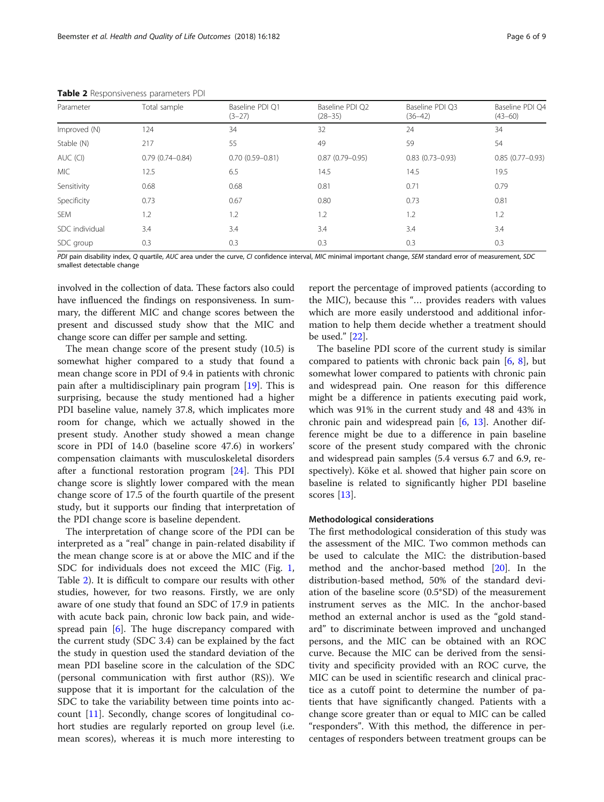| Parameter      | Total sample        | Baseline PDI 01<br>$(3-27)$ | Baseline PDI O2<br>$(28 - 35)$ | Baseline PDI O3<br>$(36 - 42)$ | Baseline PDI Q4<br>$(43 - 60)$ |
|----------------|---------------------|-----------------------------|--------------------------------|--------------------------------|--------------------------------|
| Improved (N)   | 124                 | 34                          | 32                             | 24                             | 34                             |
| Stable (N)     | 217                 | 55                          | 49                             | 59                             | 54                             |
| AUC (CI)       | $0.79(0.74 - 0.84)$ | $0.70(0.59 - 0.81)$         | $0.87(0.79 - 0.95)$            | $0.83(0.73 - 0.93)$            | $0.85(0.77-0.93)$              |
| <b>MIC</b>     | 12.5                | 6.5                         | 14.5                           | 14.5                           | 19.5                           |
| Sensitivity    | 0.68                | 0.68                        | 0.81                           | 0.71                           | 0.79                           |
| Specificity    | 0.73                | 0.67                        | 0.80                           | 0.73                           | 0.81                           |
| <b>SEM</b>     | 1.2                 | 1.2                         | 1.2                            | 1.2                            | 1.2                            |
| SDC individual | 3.4                 | 3.4                         | 3.4                            | 3.4                            | 3.4                            |
| SDC group      | 0.3                 | 0.3                         | 0.3                            | 0.3                            | 0.3                            |

<span id="page-5-0"></span>Table 2 Responsiveness parameters PDI

PDI pain disability index, Q quartile, AUC area under the curve, CI confidence interval, MIC minimal important change, SEM standard error of measurement, SDC smallest detectable change

involved in the collection of data. These factors also could have influenced the findings on responsiveness. In summary, the different MIC and change scores between the present and discussed study show that the MIC and change score can differ per sample and setting.

The mean change score of the present study (10.5) is somewhat higher compared to a study that found a mean change score in PDI of 9.4 in patients with chronic pain after a multidisciplinary pain program [[19](#page-8-0)]. This is surprising, because the study mentioned had a higher PDI baseline value, namely 37.8, which implicates more room for change, which we actually showed in the present study. Another study showed a mean change score in PDI of 14.0 (baseline score 47.6) in workers' compensation claimants with musculoskeletal disorders after a functional restoration program [[24](#page-8-0)]. This PDI change score is slightly lower compared with the mean change score of 17.5 of the fourth quartile of the present study, but it supports our finding that interpretation of the PDI change score is baseline dependent.

The interpretation of change score of the PDI can be interpreted as a "real" change in pain-related disability if the mean change score is at or above the MIC and if the SDC for individuals does not exceed the MIC (Fig. [1](#page-3-0), Table 2). It is difficult to compare our results with other studies, however, for two reasons. Firstly, we are only aware of one study that found an SDC of 17.9 in patients with acute back pain, chronic low back pain, and widespread pain [[6\]](#page-8-0). The huge discrepancy compared with the current study (SDC 3.4) can be explained by the fact the study in question used the standard deviation of the mean PDI baseline score in the calculation of the SDC (personal communication with first author (RS)). We suppose that it is important for the calculation of the SDC to take the variability between time points into account [\[11](#page-8-0)]. Secondly, change scores of longitudinal cohort studies are regularly reported on group level (i.e. mean scores), whereas it is much more interesting to

report the percentage of improved patients (according to the MIC), because this "… provides readers with values which are more easily understood and additional information to help them decide whether a treatment should be used." [[22\]](#page-8-0).

The baseline PDI score of the current study is similar compared to patients with chronic back pain  $[6, 8]$  $[6, 8]$  $[6, 8]$ , but somewhat lower compared to patients with chronic pain and widespread pain. One reason for this difference might be a difference in patients executing paid work, which was 91% in the current study and 48 and 43% in chronic pain and widespread pain [[6,](#page-8-0) [13\]](#page-8-0). Another difference might be due to a difference in pain baseline score of the present study compared with the chronic and widespread pain samples (5.4 versus 6.7 and 6.9, respectively). Köke et al. showed that higher pain score on baseline is related to significantly higher PDI baseline scores [[13\]](#page-8-0).

# Methodological considerations

The first methodological consideration of this study was the assessment of the MIC. Two common methods can be used to calculate the MIC: the distribution-based method and the anchor-based method [[20\]](#page-8-0). In the distribution-based method, 50% of the standard deviation of the baseline score (0.5\*SD) of the measurement instrument serves as the MIC. In the anchor-based method an external anchor is used as the "gold standard" to discriminate between improved and unchanged persons, and the MIC can be obtained with an ROC curve. Because the MIC can be derived from the sensitivity and specificity provided with an ROC curve, the MIC can be used in scientific research and clinical practice as a cutoff point to determine the number of patients that have significantly changed. Patients with a change score greater than or equal to MIC can be called "responders". With this method, the difference in percentages of responders between treatment groups can be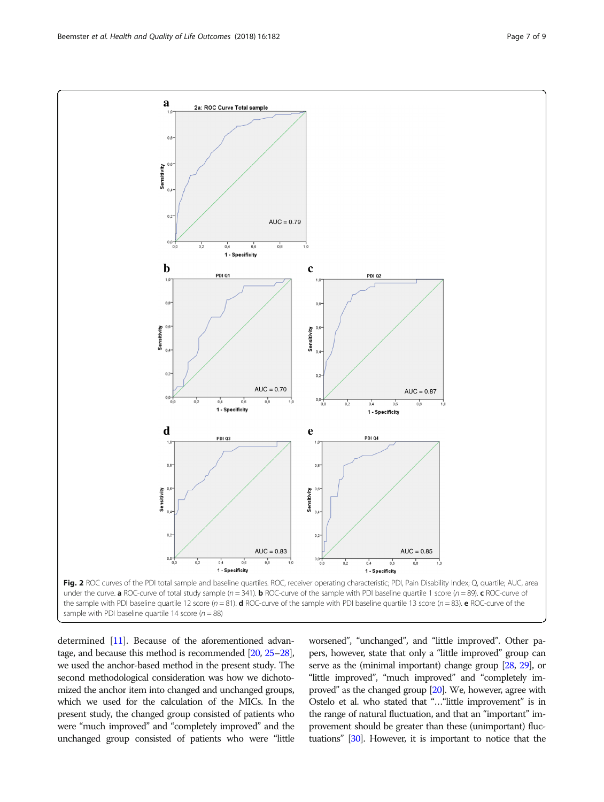<span id="page-6-0"></span>

determined [[11](#page-8-0)]. Because of the aforementioned advantage, and because this method is recommended [\[20](#page-8-0), [25](#page-8-0)–[28](#page-8-0)], we used the anchor-based method in the present study. The second methodological consideration was how we dichotomized the anchor item into changed and unchanged groups, which we used for the calculation of the MICs. In the present study, the changed group consisted of patients who were "much improved" and "completely improved" and the unchanged group consisted of patients who were "little worsened", "unchanged", and "little improved". Other papers, however, state that only a "little improved" group can serve as the (minimal important) change group [\[28](#page-8-0), [29\]](#page-8-0), or "little improved", "much improved" and "completely improved" as the changed group [\[20\]](#page-8-0). We, however, agree with Ostelo et al. who stated that "…"little improvement" is in the range of natural fluctuation, and that an "important" improvement should be greater than these (unimportant) fluctuations" [\[30](#page-8-0)]. However, it is important to notice that the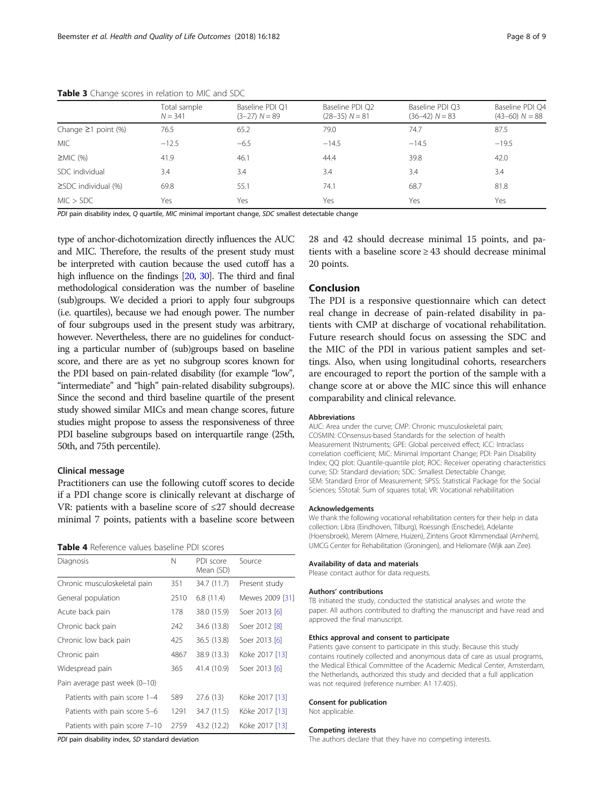|                           | Total sample<br>$N = 341$ | Baseline PDI 01<br>$(3-27) N = 89$ | Baseline PDI O2<br>$(28-35) N = 81$ | Baseline PDI O3<br>$(36-42) N = 83$ | Baseline PDI 04<br>$(43-60) N = 88$ |
|---------------------------|---------------------------|------------------------------------|-------------------------------------|-------------------------------------|-------------------------------------|
| Change $\geq$ 1 point (%) | 76.5                      | 65.2                               | 79.0                                | 74.7                                | 87.5                                |
| <b>MIC</b>                | $-12.5$                   | $-6.5$                             | $-14.5$                             | $-14.5$                             | $-19.5$                             |
| $\geq$ MIC (%)            | 41.9                      | 46.1                               | 44.4                                | 39.8                                | 42.0                                |
| SDC individual            | 3.4                       | 3.4                                | 3.4                                 | 3.4                                 | 3.4                                 |
| $\geq$ SDC individual (%) | 69.8                      | 55.1                               | 74.1                                | 68.7                                | 81.8                                |
| MIC > SDC                 | Yes                       | Yes                                | Yes                                 | Yes                                 | Yes                                 |

<span id="page-7-0"></span>Table 3 Change scores in relation to MIC and SDC

PDI pain disability index, Q quartile, MIC minimal important change, SDC smallest detectable change

type of anchor-dichotomization directly influences the AUC and MIC. Therefore, the results of the present study must be interpreted with caution because the used cutoff has a high influence on the findings [\[20](#page-8-0), [30](#page-8-0)]. The third and final methodological consideration was the number of baseline (sub)groups. We decided a priori to apply four subgroups (i.e. quartiles), because we had enough power. The number of four subgroups used in the present study was arbitrary, however. Nevertheless, there are no guidelines for conducting a particular number of (sub)groups based on baseline score, and there are as yet no subgroup scores known for the PDI based on pain-related disability (for example "low", "intermediate" and "high" pain-related disability subgroups). Since the second and third baseline quartile of the present study showed similar MICs and mean change scores, future studies might propose to assess the responsiveness of three PDI baseline subgroups based on interquartile range (25th, 50th, and 75th percentile).

#### Clinical message

Practitioners can use the following cutoff scores to decide if a PDI change score is clinically relevant at discharge of VR: patients with a baseline score of ≤27 should decrease minimal 7 points, patients with a baseline score between

#### Table 4 Reference values baseline PDI scores

| Diagnosis                     | N    | PDI score<br>Mean (SD) | Source          |
|-------------------------------|------|------------------------|-----------------|
| Chronic musculoskeletal pain  | 351  | 34.7 (11.7)            | Present study   |
| General population            | 2510 | 6.8(11.4)              | Mewes 2009 [31] |
| Acute back pain               | 178  | 38.0 (15.9)            | Soer 2013 [6]   |
| Chronic back pain             | 242  | 34.6 (13.8)            | Soer 2012 [8]   |
| Chronic low back pain         | 425  | 36.5(13.8)             | Soer 2013 [6]   |
| Chronic pain                  | 4867 | 38.9 (13.3)            | Köke 2017 [13]  |
| Widespread pain               | 365  | 41.4 (10.9)            | Soer 2013 [6]   |
| Pain average past week (0-10) |      |                        |                 |
| Patients with pain score 1-4  | 589  | 27.6 (13)              | Köke 2017 [13]  |
| Patients with pain score 5-6  | 1291 | 34.7 (11.5)            | Köke 2017 [13]  |
| Patients with pain score 7-10 | 2759 | 43.2 (12.2)            | Köke 2017 [13]  |

PDI pain disability index, SD standard deviation

28 and 42 should decrease minimal 15 points, and patients with a baseline score ≥ 43 should decrease minimal 20 points.

### Conclusion

The PDI is a responsive questionnaire which can detect real change in decrease of pain-related disability in patients with CMP at discharge of vocational rehabilitation. Future research should focus on assessing the SDC and the MIC of the PDI in various patient samples and settings. Also, when using longitudinal cohorts, researchers are encouraged to report the portion of the sample with a change score at or above the MIC since this will enhance comparability and clinical relevance.

#### Abbreviations

AUC: Area under the curve; CMP: Chronic musculoskeletal pain; COSMIN: COnsensus-based Standards for the selection of health Measurement INstruments; GPE: Global perceived effect; ICC: Intraclass correlation coefficient; MIC: Minimal Important Change; PDI: Pain Disability Index; QQ plot: Quantile-quantile plot; ROC: Receiver operating characteristics curve; SD: Standard deviation; SDC: Smallest Detectable Change; SEM: Standard Error of Measurement; SPSS: Statistical Package for the Social Sciences; SStotal: Sum of squares total; VR: Vocational rehabilitation

#### Acknowledgements

We thank the following vocational rehabilitation centers for their help in data collection: Libra (Eindhoven, Tilburg), Roessingh (Enschede), Adelante (Hoensbroek), Merem (Almere, Huizen), Zintens Groot Klimmendaal (Arnhem), UMCG Center for Rehabilitation (Groningen), and Heliomare (Wijk aan Zee).

#### Availability of data and materials

Please contact author for data requests.

#### Authors' contributions

TB initiated the study, conducted the statistical analyses and wrote the paper. All authors contributed to drafting the manuscript and have read and approved the final manuscript.

#### Ethics approval and consent to participate

Patients gave consent to participate in this study. Because this study contains routinely collected and anonymous data of care as usual programs, the Medical Ethical Committee of the Academic Medical Center, Amsterdam, the Netherlands, authorized this study and decided that a full application was not required (reference number: A1 17.405).

#### Consent for publication

Not applicable.

#### Competing interests

The authors declare that they have no competing interests.